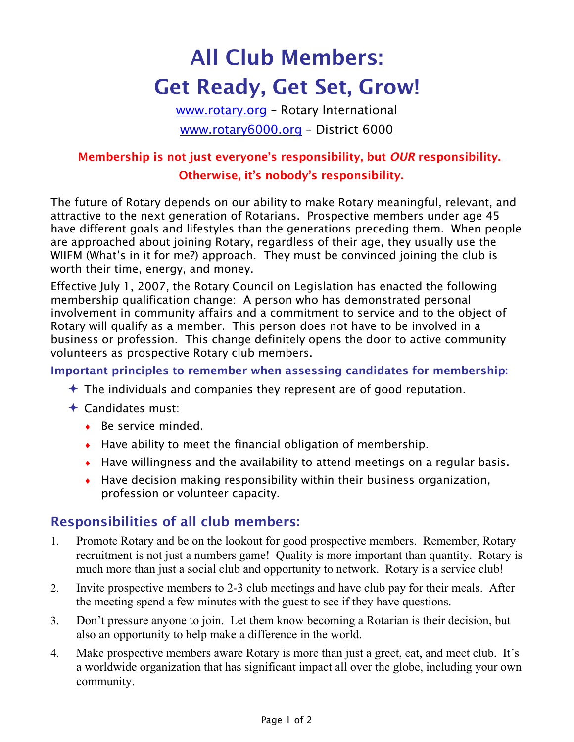# **All Club Members: Get Ready, Get Set, Grow!**

www.rotary.org – Rotary International www.rotary6000.org – District 6000

## **Membership is not just everyone's responsibility, but** *OUR* **responsibility. Otherwise, it's nobody's responsibility.**

The future of Rotary depends on our ability to make Rotary meaningful, relevant, and attractive to the next generation of Rotarians. Prospective members under age 45 have different goals and lifestyles than the generations preceding them. When people are approached about joining Rotary, regardless of their age, they usually use the WIIFM (What's in it for me?) approach. They must be convinced joining the club is worth their time, energy, and money.

Effective July 1, 2007, the Rotary Council on Legislation has enacted the following membership qualification change: A person who has demonstrated personal involvement in community affairs and a commitment to service and to the object of Rotary will qualify as a member. This person does not have to be involved in a business or profession. This change definitely opens the door to active community volunteers as prospective Rotary club members.

#### **Important principles to remember when assessing candidates for membership:**

- $\triangle$  The individuals and companies they represent are of good reputation.
- $\triangle$  Candidates must:
	- $\cdot$  Be service minded.
	- $\cdot$  Have ability to meet the financial obligation of membership.
	- ♦ Have willingness and the availability to attend meetings on a regular basis.
	- $\bullet$  Have decision making responsibility within their business organization, profession or volunteer capacity.

## **Responsibilities of all club members:**

- 1. Promote Rotary and be on the lookout for good prospective members. Remember, Rotary recruitment is not just a numbers game! Quality is more important than quantity. Rotary is much more than just a social club and opportunity to network. Rotary is a service club!
- 2. Invite prospective members to 2-3 club meetings and have club pay for their meals. After the meeting spend a few minutes with the guest to see if they have questions.
- 3. Don't pressure anyone to join. Let them know becoming a Rotarian is their decision, but also an opportunity to help make a difference in the world.
- 4. Make prospective members aware Rotary is more than just a greet, eat, and meet club. It's a worldwide organization that has significant impact all over the globe, including your own community.